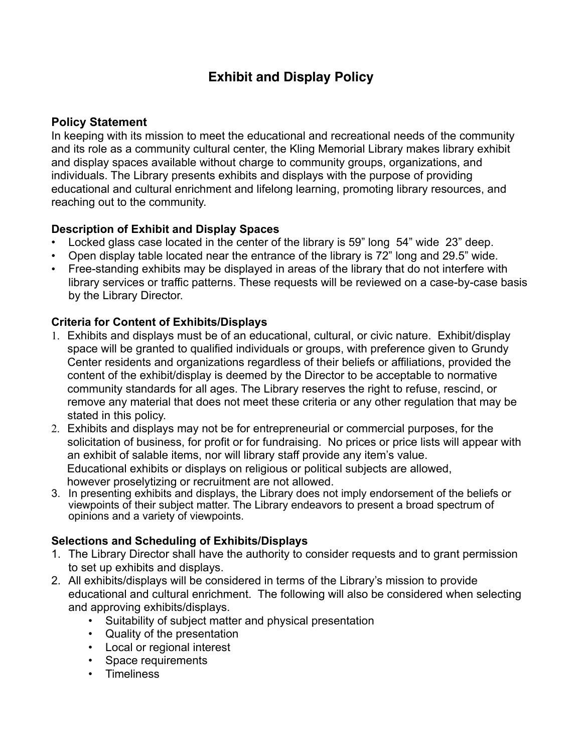# **Exhibit and Display Policy**

## **Policy Statement**

In keeping with its mission to meet the educational and recreational needs of the community and its role as a community cultural center, the Kling Memorial Library makes library exhibit and display spaces available without charge to community groups, organizations, and individuals. The Library presents exhibits and displays with the purpose of providing educational and cultural enrichment and lifelong learning, promoting library resources, and reaching out to the community.

## **Description of Exhibit and Display Spaces**

- Locked glass case located in the center of the library is 59" long 54" wide 23" deep.
- Open display table located near the entrance of the library is 72" long and 29.5" wide.
- Free-standing exhibits may be displayed in areas of the library that do not interfere with library services or traffic patterns. These requests will be reviewed on a case-by-case basis by the Library Director.

## **Criteria for Content of Exhibits/Displays**

- 1. Exhibits and displays must be of an educational, cultural, or civic nature. Exhibit/display space will be granted to qualified individuals or groups, with preference given to Grundy Center residents and organizations regardless of their beliefs or affiliations, provided the content of the exhibit/display is deemed by the Director to be acceptable to normative community standards for all ages. The Library reserves the right to refuse, rescind, or remove any material that does not meet these criteria or any other regulation that may be stated in this policy.
- 2. Exhibits and displays may not be for entrepreneurial or commercial purposes, for the solicitation of business, for profit or for fundraising. No prices or price lists will appear with an exhibit of salable items, nor will library staff provide any item's value. Educational exhibits or displays on religious or political subjects are allowed, however proselytizing or recruitment are not allowed.
- 3. In presenting exhibits and displays, the Library does not imply endorsement of the beliefs or viewpoints of their subject matter. The Library endeavors to present a broad spectrum of opinions and a variety of viewpoints.

# **Selections and Scheduling of Exhibits/Displays**

- 1. The Library Director shall have the authority to consider requests and to grant permission to set up exhibits and displays.
- 2. All exhibits/displays will be considered in terms of the Library's mission to provide educational and cultural enrichment. The following will also be considered when selecting and approving exhibits/displays.
	- Suitability of subject matter and physical presentation
	- Quality of the presentation
	- Local or regional interest
	- Space requirements
	- Timeliness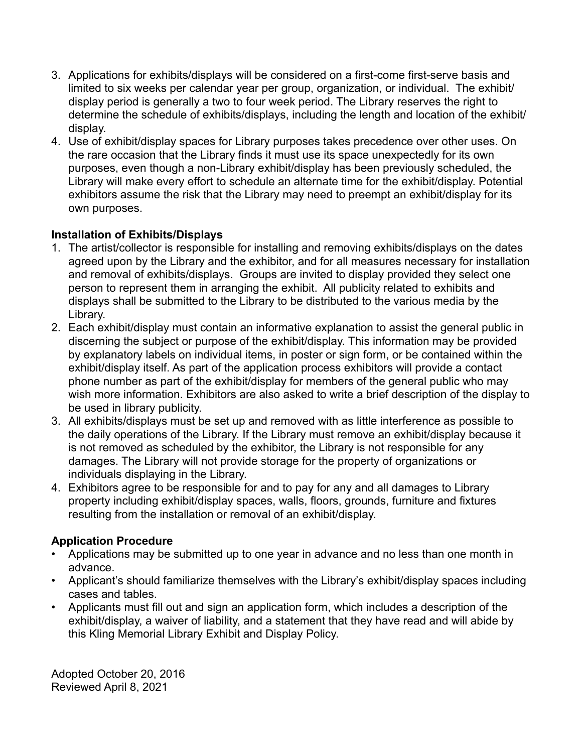- 3. Applications for exhibits/displays will be considered on a first-come first-serve basis and limited to six weeks per calendar year per group, organization, or individual. The exhibit/ display period is generally a two to four week period. The Library reserves the right to determine the schedule of exhibits/displays, including the length and location of the exhibit/ display.
- 4. Use of exhibit/display spaces for Library purposes takes precedence over other uses. On the rare occasion that the Library finds it must use its space unexpectedly for its own purposes, even though a non-Library exhibit/display has been previously scheduled, the Library will make every effort to schedule an alternate time for the exhibit/display. Potential exhibitors assume the risk that the Library may need to preempt an exhibit/display for its own purposes.

## **Installation of Exhibits/Displays**

- 1. The artist/collector is responsible for installing and removing exhibits/displays on the dates agreed upon by the Library and the exhibitor, and for all measures necessary for installation and removal of exhibits/displays. Groups are invited to display provided they select one person to represent them in arranging the exhibit. All publicity related to exhibits and displays shall be submitted to the Library to be distributed to the various media by the Library.
- 2. Each exhibit/display must contain an informative explanation to assist the general public in discerning the subject or purpose of the exhibit/display. This information may be provided by explanatory labels on individual items, in poster or sign form, or be contained within the exhibit/display itself. As part of the application process exhibitors will provide a contact phone number as part of the exhibit/display for members of the general public who may wish more information. Exhibitors are also asked to write a brief description of the display to be used in library publicity.
- 3. All exhibits/displays must be set up and removed with as little interference as possible to the daily operations of the Library. If the Library must remove an exhibit/display because it is not removed as scheduled by the exhibitor, the Library is not responsible for any damages. The Library will not provide storage for the property of organizations or individuals displaying in the Library.
- 4. Exhibitors agree to be responsible for and to pay for any and all damages to Library property including exhibit/display spaces, walls, floors, grounds, furniture and fixtures resulting from the installation or removal of an exhibit/display.

# **Application Procedure**

- Applications may be submitted up to one year in advance and no less than one month in advance.
- Applicant's should familiarize themselves with the Library's exhibit/display spaces including cases and tables.
- Applicants must fill out and sign an application form, which includes a description of the exhibit/display, a waiver of liability, and a statement that they have read and will abide by this Kling Memorial Library Exhibit and Display Policy.

Adopted October 20, 2016 Reviewed April 8, 2021